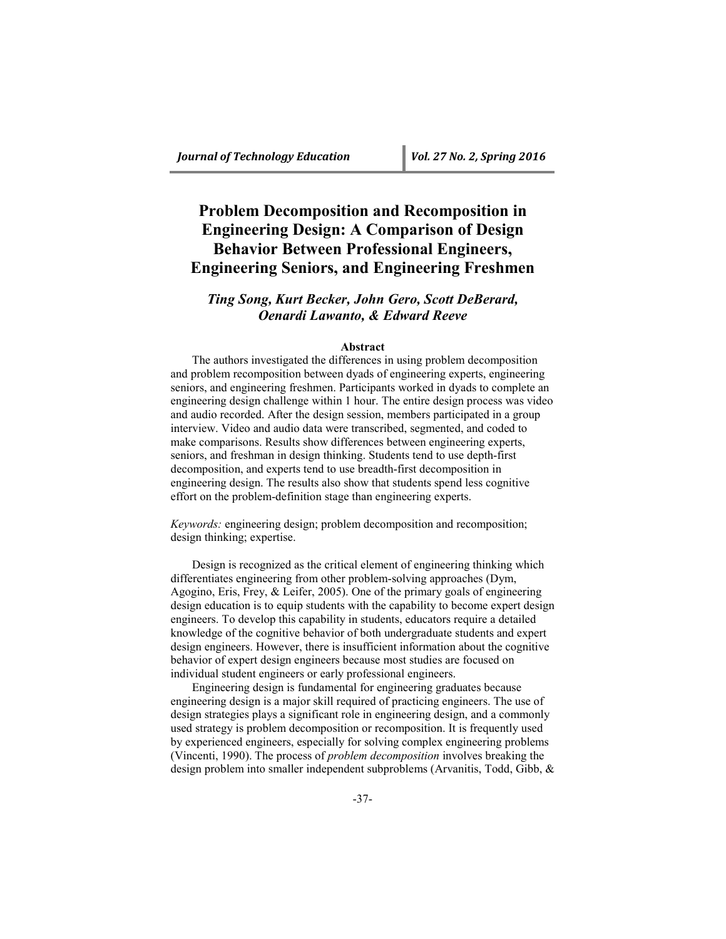# **Problem Decomposition and Recomposition in Engineering Design: A Comparison of Design Behavior Between Professional Engineers, Engineering Seniors, and Engineering Freshmen**

## *Ting Song, Kurt Becker, John Gero, Scott DeBerard, Oenardi Lawanto, & Edward Reeve*

### **Abstract**

The authors investigated the differences in using problem decomposition and problem recomposition between dyads of engineering experts, engineering seniors, and engineering freshmen. Participants worked in dyads to complete an engineering design challenge within 1 hour. The entire design process was video and audio recorded. After the design session, members participated in a group interview. Video and audio data were transcribed, segmented, and coded to make comparisons. Results show differences between engineering experts, seniors, and freshman in design thinking. Students tend to use depth-first decomposition, and experts tend to use breadth-first decomposition in engineering design. The results also show that students spend less cognitive effort on the problem-definition stage than engineering experts.

*Keywords:* engineering design; problem decomposition and recomposition; design thinking; expertise.

Design is recognized as the critical element of engineering thinking which differentiates engineering from other problem-solving approaches (Dym, Agogino, Eris, Frey, & Leifer, 2005). One of the primary goals of engineering design education is to equip students with the capability to become expert design engineers. To develop this capability in students, educators require a detailed knowledge of the cognitive behavior of both undergraduate students and expert design engineers. However, there is insufficient information about the cognitive behavior of expert design engineers because most studies are focused on individual student engineers or early professional engineers.

Engineering design is fundamental for engineering graduates because engineering design is a major skill required of practicing engineers. The use of design strategies plays a significant role in engineering design, and a commonly used strategy is problem decomposition or recomposition. It is frequently used by experienced engineers, especially for solving complex engineering problems (Vincenti, 1990). The process of *problem decomposition* involves breaking the design problem into smaller independent subproblems (Arvanitis, Todd, Gibb, &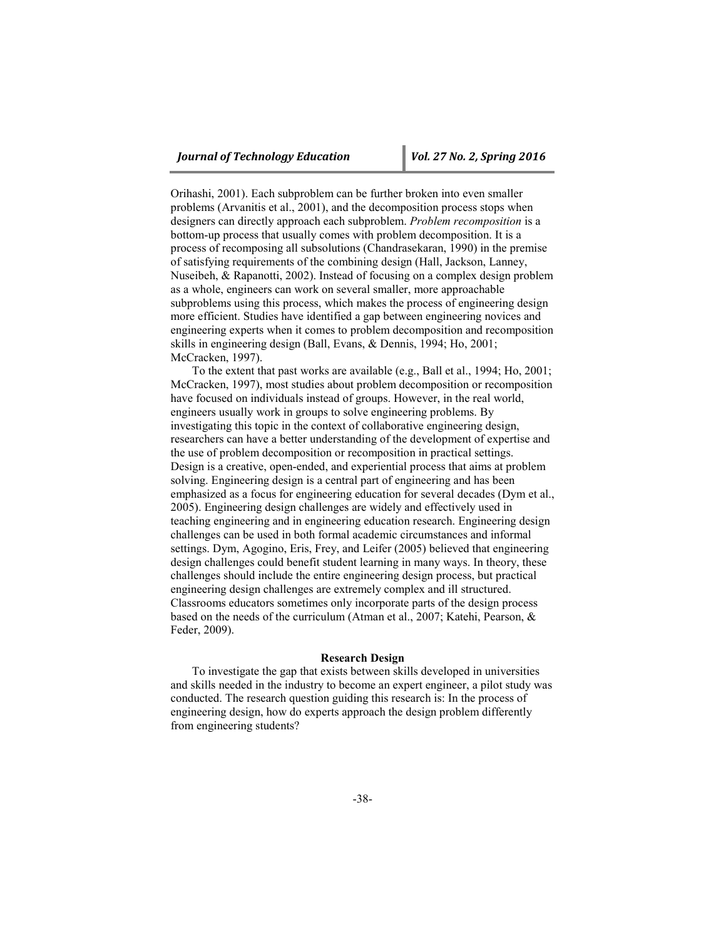Orihashi, 2001). Each subproblem can be further broken into even smaller problems (Arvanitis et al., 2001), and the decomposition process stops when designers can directly approach each subproblem. *Problem recomposition* is a bottom-up process that usually comes with problem decomposition. It is a process of recomposing all subsolutions (Chandrasekaran, 1990) in the premise of satisfying requirements of the combining design (Hall, Jackson, Lanney, Nuseibeh, & Rapanotti, 2002). Instead of focusing on a complex design problem as a whole, engineers can work on several smaller, more approachable subproblems using this process, which makes the process of engineering design more efficient. Studies have identified a gap between engineering novices and engineering experts when it comes to problem decomposition and recomposition skills in engineering design (Ball, Evans, & Dennis, 1994; Ho, 2001; McCracken, 1997).

To the extent that past works are available (e.g., Ball et al., 1994; Ho, 2001; McCracken, 1997), most studies about problem decomposition or recomposition have focused on individuals instead of groups. However, in the real world, engineers usually work in groups to solve engineering problems. By investigating this topic in the context of collaborative engineering design, researchers can have a better understanding of the development of expertise and the use of problem decomposition or recomposition in practical settings. Design is a creative, open-ended, and experiential process that aims at problem solving. Engineering design is a central part of engineering and has been emphasized as a focus for engineering education for several decades (Dym et al., 2005). Engineering design challenges are widely and effectively used in teaching engineering and in engineering education research. Engineering design challenges can be used in both formal academic circumstances and informal settings. Dym, Agogino, Eris, Frey, and Leifer (2005) believed that engineering design challenges could benefit student learning in many ways. In theory, these challenges should include the entire engineering design process, but practical engineering design challenges are extremely complex and ill structured. Classrooms educators sometimes only incorporate parts of the design process based on the needs of the curriculum (Atman et al., 2007; Katehi, Pearson, & Feder, 2009).

### **Research Design**

To investigate the gap that exists between skills developed in universities and skills needed in the industry to become an expert engineer, a pilot study was conducted. The research question guiding this research is: In the process of engineering design, how do experts approach the design problem differently from engineering students?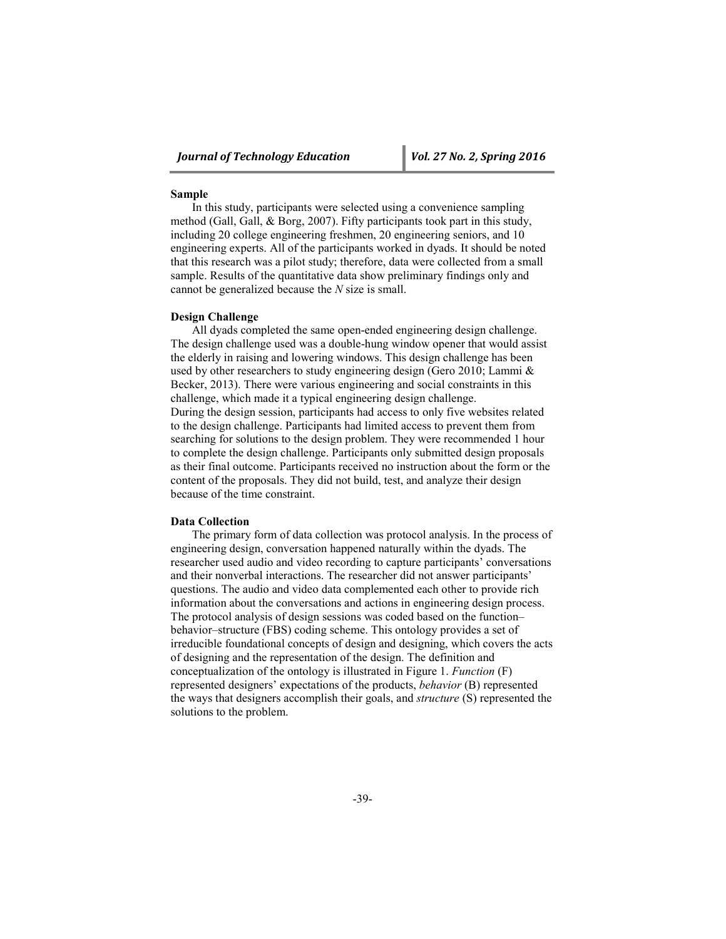### **Sample**

In this study, participants were selected using a convenience sampling method (Gall, Gall, & Borg, 2007). Fifty participants took part in this study, including 20 college engineering freshmen, 20 engineering seniors, and 10 engineering experts. All of the participants worked in dyads. It should be noted that this research was a pilot study; therefore, data were collected from a small sample. Results of the quantitative data show preliminary findings only and cannot be generalized because the *N* size is small.

### **Design Challenge**

All dyads completed the same open-ended engineering design challenge. The design challenge used was a double-hung window opener that would assist the elderly in raising and lowering windows. This design challenge has been used by other researchers to study engineering design (Gero 2010; Lammi & Becker, 2013). There were various engineering and social constraints in this challenge, which made it a typical engineering design challenge. During the design session, participants had access to only five websites related to the design challenge. Participants had limited access to prevent them from searching for solutions to the design problem. They were recommended 1 hour to complete the design challenge. Participants only submitted design proposals as their final outcome. Participants received no instruction about the form or the content of the proposals. They did not build, test, and analyze their design because of the time constraint.

### **Data Collection**

The primary form of data collection was protocol analysis. In the process of engineering design, conversation happened naturally within the dyads. The researcher used audio and video recording to capture participants' conversations and their nonverbal interactions. The researcher did not answer participants' questions. The audio and video data complemented each other to provide rich information about the conversations and actions in engineering design process. The protocol analysis of design sessions was coded based on the function– behavior–structure (FBS) coding scheme. This ontology provides a set of irreducible foundational concepts of design and designing, which covers the acts of designing and the representation of the design. The definition and conceptualization of the ontology is illustrated in Figure 1. *Function* (F) represented designers' expectations of the products, *behavior* (B) represented the ways that designers accomplish their goals, and *structure* (S) represented the solutions to the problem.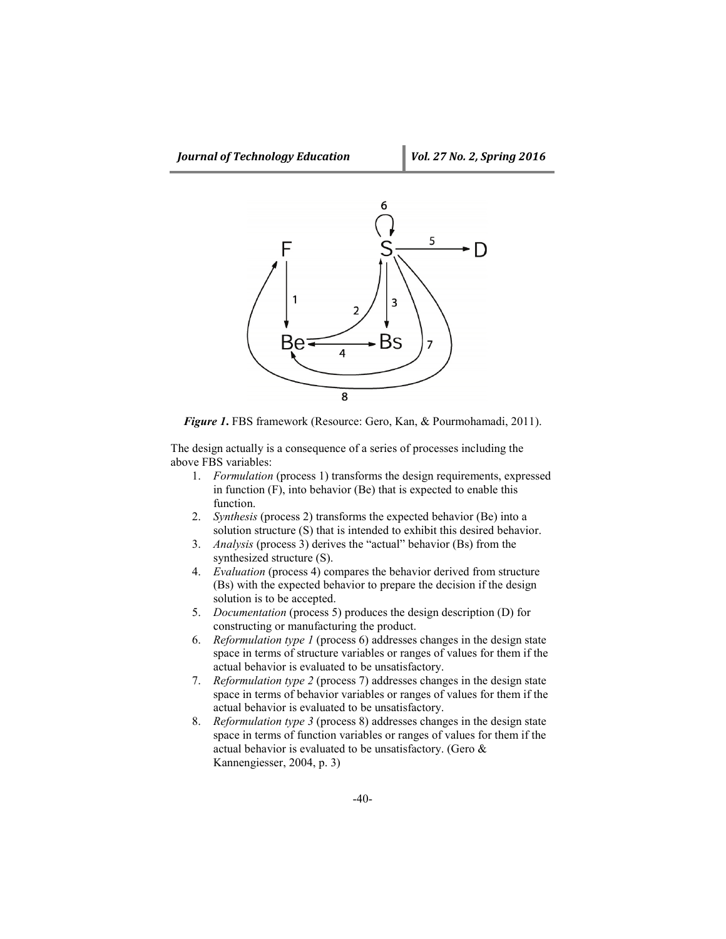

*Figure 1***.** FBS framework (Resource: Gero, Kan, & Pourmohamadi, 2011).

The design actually is a consequence of a series of processes including the above FBS variables:

- 1. *Formulation* (process 1) transforms the design requirements, expressed in function (F), into behavior (Be) that is expected to enable this function.
- 2. *Synthesis* (process 2) transforms the expected behavior (Be) into a solution structure (S) that is intended to exhibit this desired behavior.
- 3. *Analysis* (process 3) derives the "actual" behavior (Bs) from the synthesized structure (S).
- 4. *Evaluation* (process 4) compares the behavior derived from structure (Bs) with the expected behavior to prepare the decision if the design solution is to be accepted.
- 5. *Documentation* (process 5) produces the design description (D) for constructing or manufacturing the product.
- 6. *Reformulation type 1* (process 6) addresses changes in the design state space in terms of structure variables or ranges of values for them if the actual behavior is evaluated to be unsatisfactory.
- 7. *Reformulation type 2* (process 7) addresses changes in the design state space in terms of behavior variables or ranges of values for them if the actual behavior is evaluated to be unsatisfactory.
- 8. *Reformulation type 3* (process 8) addresses changes in the design state space in terms of function variables or ranges of values for them if the actual behavior is evaluated to be unsatisfactory. (Gero & Kannengiesser, 2004, p. 3)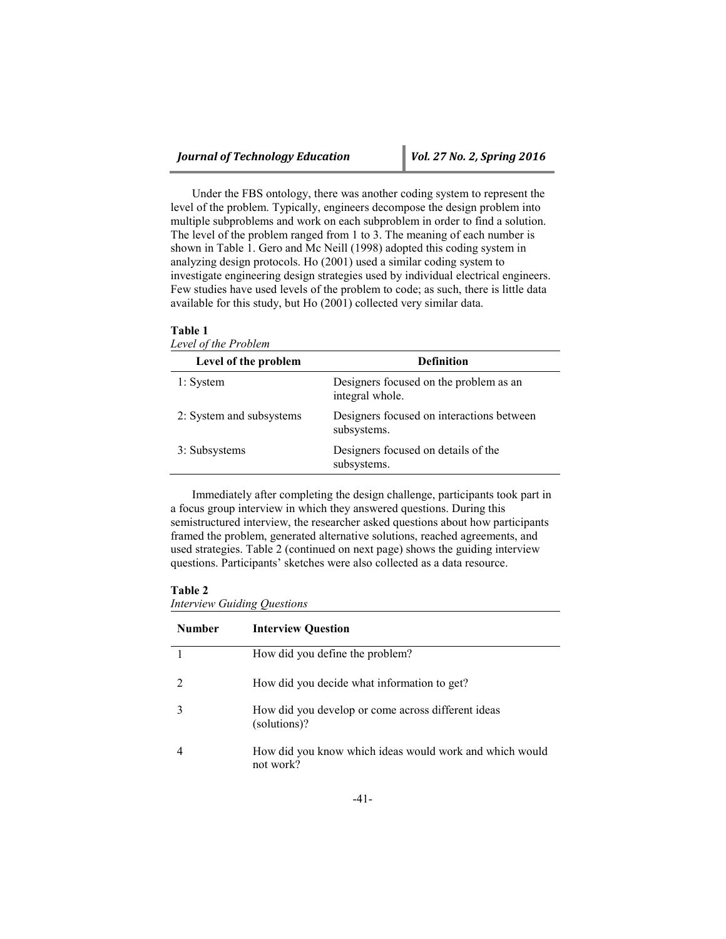Under the FBS ontology, there was another coding system to represent the level of the problem. Typically, engineers decompose the design problem into multiple subproblems and work on each subproblem in order to find a solution. The level of the problem ranged from 1 to 3. The meaning of each number is shown in Table 1. Gero and Mc Neill (1998) adopted this coding system in analyzing design protocols. Ho (2001) used a similar coding system to investigate engineering design strategies used by individual electrical engineers. Few studies have used levels of the problem to code; as such, there is little data available for this study, but Ho (2001) collected very similar data.

| Level of the problem     | <b>Definition</b>                                         |
|--------------------------|-----------------------------------------------------------|
| 1: System                | Designers focused on the problem as an<br>integral whole. |
| 2: System and subsystems | Designers focused on interactions between<br>subsystems.  |
| 3: Subsystems            | Designers focused on details of the<br>subsystems.        |

Immediately after completing the design challenge, participants took part in a focus group interview in which they answered questions. During this semistructured interview, the researcher asked questions about how participants framed the problem, generated alternative solutions, reached agreements, and used strategies. Table 2 (continued on next page) shows the guiding interview questions. Participants' sketches were also collected as a data resource.

### **Table 2**

**Table 1**

*Interview Guiding Questions*

| <b>Number</b> | <b>Interview Question</b>                                            |
|---------------|----------------------------------------------------------------------|
|               | How did you define the problem?                                      |
|               | How did you decide what information to get?                          |
|               | How did you develop or come across different ideas<br>(solutions)?   |
|               | How did you know which ideas would work and which would<br>not work? |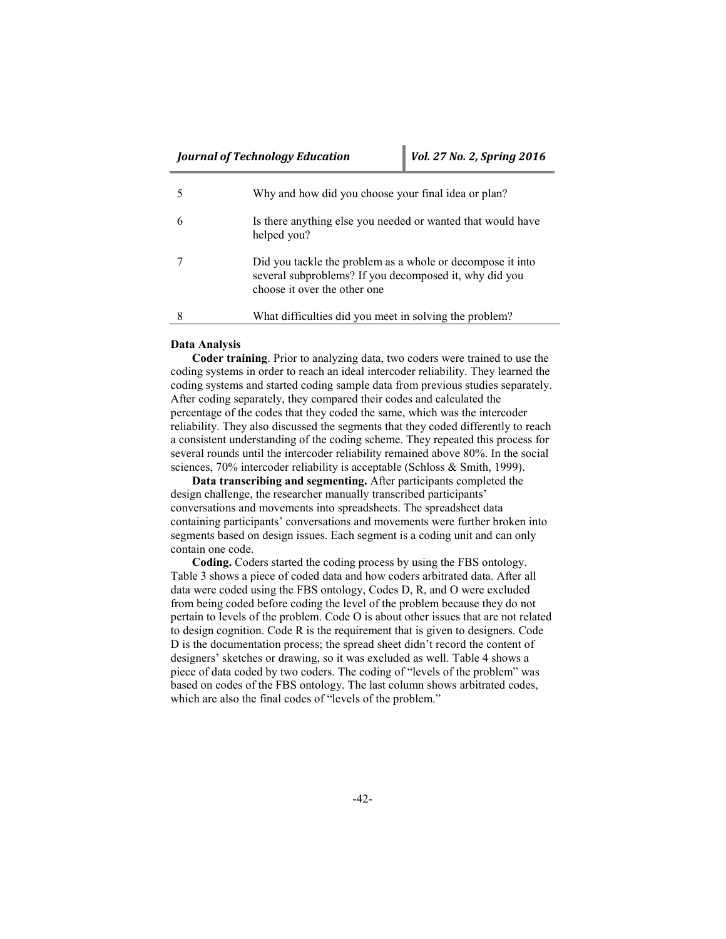| Why and how did you choose your final idea or plan?                                                                                                  |
|------------------------------------------------------------------------------------------------------------------------------------------------------|
| Is there anything else you needed or wanted that would have<br>helped you?                                                                           |
| Did you tackle the problem as a whole or decompose it into<br>several subproblems? If you decomposed it, why did you<br>choose it over the other one |
| What difficulties did you meet in solving the problem?                                                                                               |

### **Data Analysis**

**Coder training**. Prior to analyzing data, two coders were trained to use the coding systems in order to reach an ideal intercoder reliability. They learned the coding systems and started coding sample data from previous studies separately. After coding separately, they compared their codes and calculated the percentage of the codes that they coded the same, which was the intercoder reliability. They also discussed the segments that they coded differently to reach a consistent understanding of the coding scheme. They repeated this process for several rounds until the intercoder reliability remained above 80%. In the social sciences, 70% intercoder reliability is acceptable (Schloss & Smith, 1999).

**Data transcribing and segmenting.** After participants completed the design challenge, the researcher manually transcribed participants' conversations and movements into spreadsheets. The spreadsheet data containing participants' conversations and movements were further broken into segments based on design issues. Each segment is a coding unit and can only contain one code.

**Coding.** Coders started the coding process by using the FBS ontology. Table 3 shows a piece of coded data and how coders arbitrated data. After all data were coded using the FBS ontology, Codes D, R, and O were excluded from being coded before coding the level of the problem because they do not pertain to levels of the problem. Code O is about other issues that are not related to design cognition. Code R is the requirement that is given to designers. Code D is the documentation process; the spread sheet didn't record the content of designers' sketches or drawing, so it was excluded as well. Table 4 shows a piece of data coded by two coders. The coding of "levels of the problem" was based on codes of the FBS ontology. The last column shows arbitrated codes, which are also the final codes of "levels of the problem."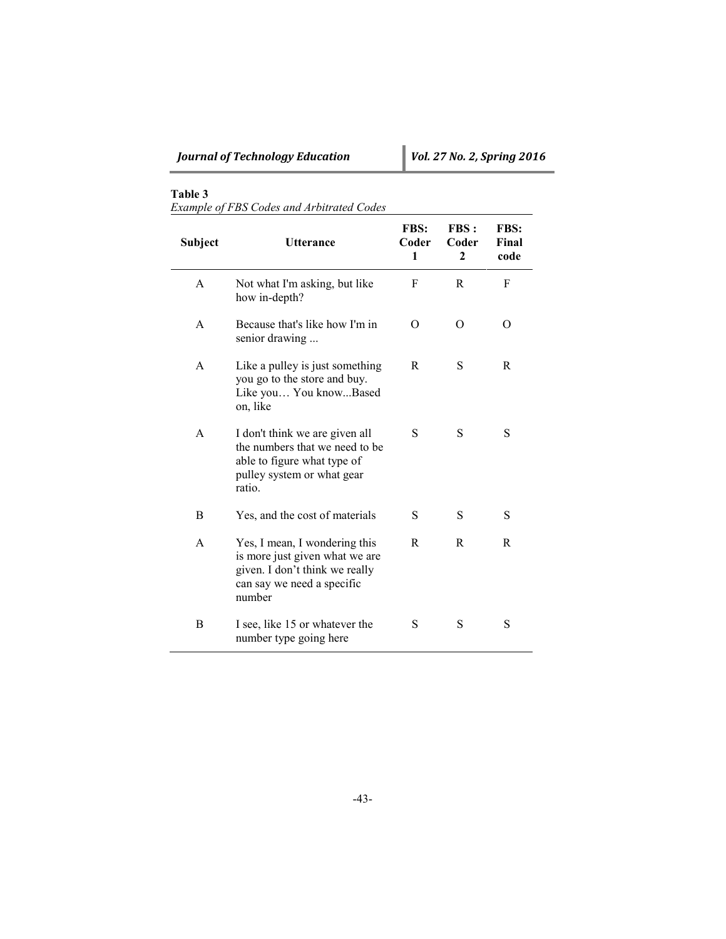*Example of FBS Codes and Arbitrated Codes*

| Subject      | <b>Utterance</b>                                                                                                                          | <b>FBS:</b><br>Coder<br>1 | FBS:<br>Coder<br>$\mathbf{2}$ | FBS:<br>Final<br>code |
|--------------|-------------------------------------------------------------------------------------------------------------------------------------------|---------------------------|-------------------------------|-----------------------|
| A            | Not what I'm asking, but like<br>how in-depth?                                                                                            | F                         | R                             | F                     |
| $\mathsf{A}$ | Because that's like how I'm in<br>senior drawing                                                                                          | O                         | 0                             | $\Omega$              |
| A            | Like a pulley is just something<br>you go to the store and buy.<br>Like you You knowBased<br>on, like                                     | R                         | S                             | R                     |
| A            | I don't think we are given all<br>the numbers that we need to be<br>able to figure what type of<br>pulley system or what gear<br>ratio.   | S                         | S                             | S                     |
| B            | Yes, and the cost of materials                                                                                                            | S                         | S                             | S                     |
| A            | Yes, I mean, I wondering this<br>is more just given what we are<br>given. I don't think we really<br>can say we need a specific<br>number | R                         | R                             | R                     |
| B            | I see, like 15 or whatever the<br>number type going here                                                                                  | S                         | S                             | S                     |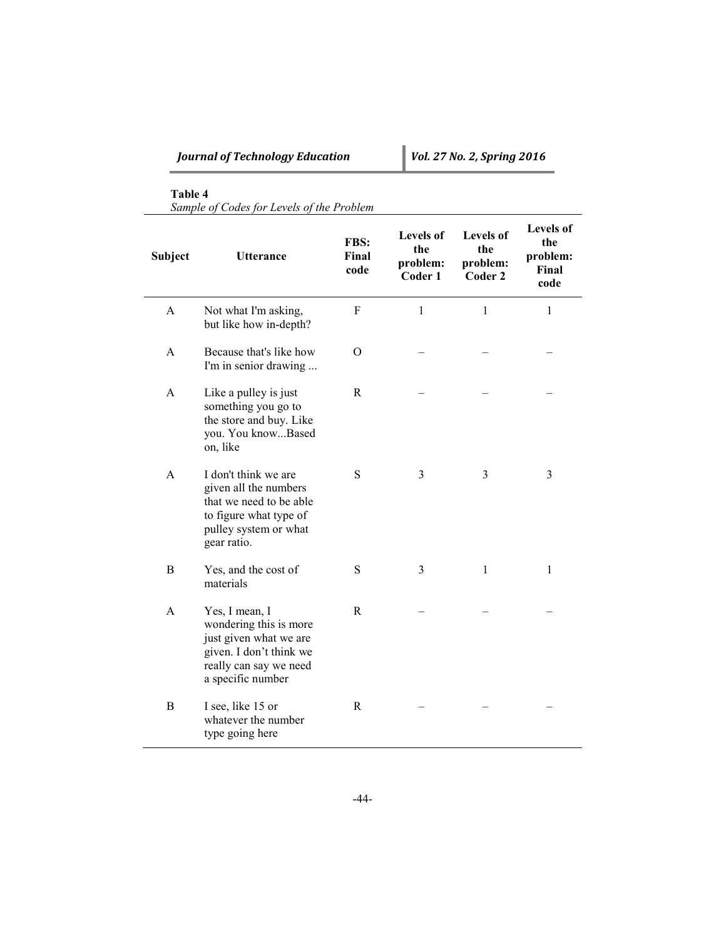| <b>Journal of Technology Education</b> |  |  |  |  |  |  |
|----------------------------------------|--|--|--|--|--|--|
|----------------------------------------|--|--|--|--|--|--|

*Sample of Codes for Levels of the Problem*

| Subject      | <b>Utterance</b>                                                                                                                             | FBS:<br>Final<br>code | <b>Levels of</b><br>the<br>problem:<br>Coder 1 | <b>Levels of</b><br>the<br>problem:<br>Coder 2 | <b>Levels of</b><br>the<br>problem:<br>Final<br>code |
|--------------|----------------------------------------------------------------------------------------------------------------------------------------------|-----------------------|------------------------------------------------|------------------------------------------------|------------------------------------------------------|
| A            | Not what I'm asking,<br>but like how in-depth?                                                                                               | F                     | $\mathbf{1}$                                   | $\mathbf{1}$                                   | $\mathbf{1}$                                         |
| $\mathsf{A}$ | Because that's like how<br>I'm in senior drawing                                                                                             | $\Omega$              |                                                |                                                |                                                      |
| A            | Like a pulley is just<br>something you go to<br>the store and buy. Like<br>you. You knowBased<br>on, like                                    | $\mathbf R$           |                                                |                                                |                                                      |
| $\mathbf{A}$ | I don't think we are<br>given all the numbers<br>that we need to be able<br>to figure what type of<br>pulley system or what<br>gear ratio.   | S                     | 3                                              | 3                                              | 3                                                    |
| B            | Yes, and the cost of<br>materials                                                                                                            | S                     | 3                                              | 1                                              | 1                                                    |
| A            | Yes, I mean, I<br>wondering this is more<br>just given what we are<br>given. I don't think we<br>really can say we need<br>a specific number | R                     |                                                |                                                |                                                      |
| B            | I see, like 15 or<br>whatever the number<br>type going here                                                                                  | R                     |                                                |                                                |                                                      |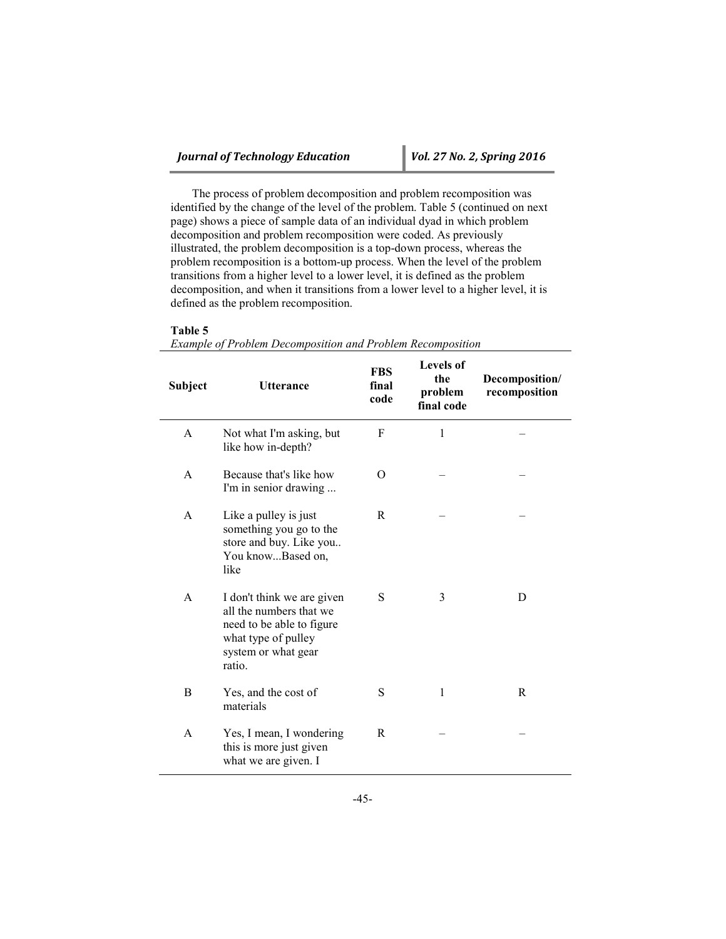The process of problem decomposition and problem recomposition was identified by the change of the level of the problem. Table 5 (continued on next page) shows a piece of sample data of an individual dyad in which problem decomposition and problem recomposition were coded. As previously illustrated, the problem decomposition is a top-down process, whereas the problem recomposition is a bottom-up process. When the level of the problem transitions from a higher level to a lower level, it is defined as the problem decomposition, and when it transitions from a lower level to a higher level, it is defined as the problem recomposition.

### **Table 5**

|  |  | Example of Problem Decomposition and Problem Recomposition |
|--|--|------------------------------------------------------------|
|  |  |                                                            |

| Subject | <b>Utterance</b>                                                                                                                           | <b>FBS</b><br>final<br>code | <b>Levels of</b><br>the<br>problem<br>final code | Decomposition/<br>recomposition |
|---------|--------------------------------------------------------------------------------------------------------------------------------------------|-----------------------------|--------------------------------------------------|---------------------------------|
| A       | Not what I'm asking, but<br>like how in-depth?                                                                                             | F                           | 1                                                |                                 |
| A       | Because that's like how<br>I'm in senior drawing                                                                                           | O                           |                                                  |                                 |
| A       | Like a pulley is just<br>something you go to the<br>store and buy. Like you<br>You knowBased on,<br>like                                   | R                           |                                                  |                                 |
| A       | I don't think we are given<br>all the numbers that we<br>need to be able to figure<br>what type of pulley<br>system or what gear<br>ratio. | S                           | 3                                                | D                               |
| B       | Yes, and the cost of<br>materials                                                                                                          | S                           | 1                                                | R                               |
| A       | Yes, I mean, I wondering<br>this is more just given<br>what we are given. I                                                                | R                           |                                                  |                                 |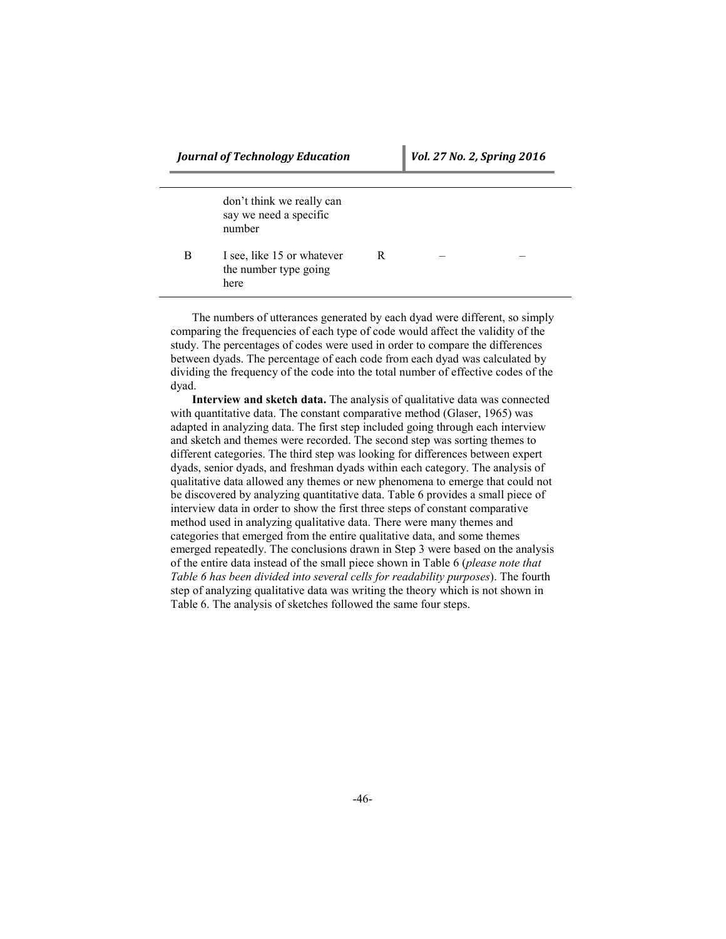|   | don't think we really can<br>say we need a specific<br>number |   |  |
|---|---------------------------------------------------------------|---|--|
| В | I see, like 15 or whatever<br>the number type going<br>here   | R |  |

The numbers of utterances generated by each dyad were different, so simply comparing the frequencies of each type of code would affect the validity of the study. The percentages of codes were used in order to compare the differences between dyads. The percentage of each code from each dyad was calculated by dividing the frequency of the code into the total number of effective codes of the dyad.

**Interview and sketch data.** The analysis of qualitative data was connected with quantitative data. The constant comparative method (Glaser, 1965) was adapted in analyzing data. The first step included going through each interview and sketch and themes were recorded. The second step was sorting themes to different categories. The third step was looking for differences between expert dyads, senior dyads, and freshman dyads within each category. The analysis of qualitative data allowed any themes or new phenomena to emerge that could not be discovered by analyzing quantitative data. Table 6 provides a small piece of interview data in order to show the first three steps of constant comparative method used in analyzing qualitative data. There were many themes and categories that emerged from the entire qualitative data, and some themes emerged repeatedly. The conclusions drawn in Step 3 were based on the analysis of the entire data instead of the small piece shown in Table 6 (*please note that Table 6 has been divided into several cells for readability purposes*). The fourth step of analyzing qualitative data was writing the theory which is not shown in Table 6. The analysis of sketches followed the same four steps.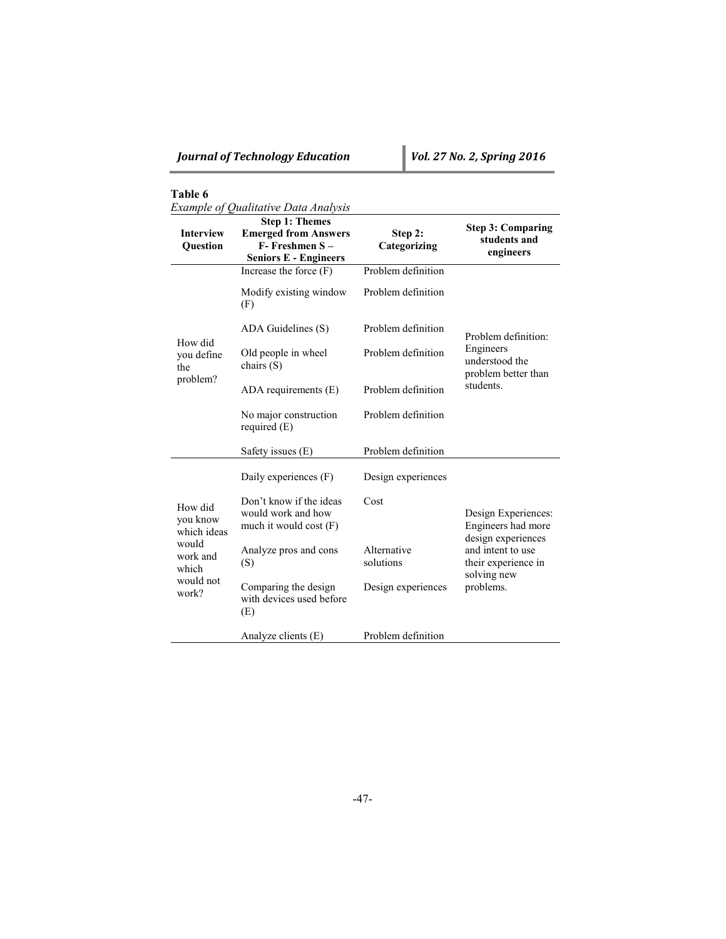|  |  |  | Example of Qualitative Data Analysis |
|--|--|--|--------------------------------------|
|--|--|--|--------------------------------------|

| <b>Interview</b><br>Question                                                           | <b>Step 1: Themes</b><br><b>Emerged from Answers</b><br>$F-$ Freshmen $S-$<br><b>Seniors E - Engineers</b> | Step 2:<br>Categorizing  | <b>Step 3: Comparing</b><br>students and<br>engineers           |
|----------------------------------------------------------------------------------------|------------------------------------------------------------------------------------------------------------|--------------------------|-----------------------------------------------------------------|
|                                                                                        | Increase the force $(F)$                                                                                   | Problem definition       |                                                                 |
|                                                                                        | Modify existing window<br>(F)                                                                              | Problem definition       |                                                                 |
| How did                                                                                | ADA Guidelines (S)                                                                                         | Problem definition       | Problem definition:                                             |
| you define<br>the<br>problem?                                                          | Old people in wheel<br>chairs $(S)$                                                                        | Problem definition       | Engineers<br>understood the<br>problem better than              |
|                                                                                        | $ADA$ requirements $(E)$                                                                                   | Problem definition       | students.                                                       |
|                                                                                        | No major construction<br>required $(E)$                                                                    | Problem definition       |                                                                 |
|                                                                                        | Safety issues (E)                                                                                          | Problem definition       |                                                                 |
|                                                                                        | Daily experiences (F)                                                                                      | Design experiences       |                                                                 |
| How did<br>you know<br>which ideas<br>would<br>work and<br>which<br>would not<br>work? | Don't know if the ideas<br>would work and how<br>much it would cost $(F)$                                  | Cost                     | Design Experiences:<br>Engineers had more<br>design experiences |
|                                                                                        | Analyze pros and cons<br>(S)                                                                               | Alternative<br>solutions | and intent to use<br>their experience in<br>solving new         |
|                                                                                        | Comparing the design<br>with devices used before<br>(E)                                                    | Design experiences       | problems.                                                       |
|                                                                                        | Analyze clients $(E)$                                                                                      | Problem definition       |                                                                 |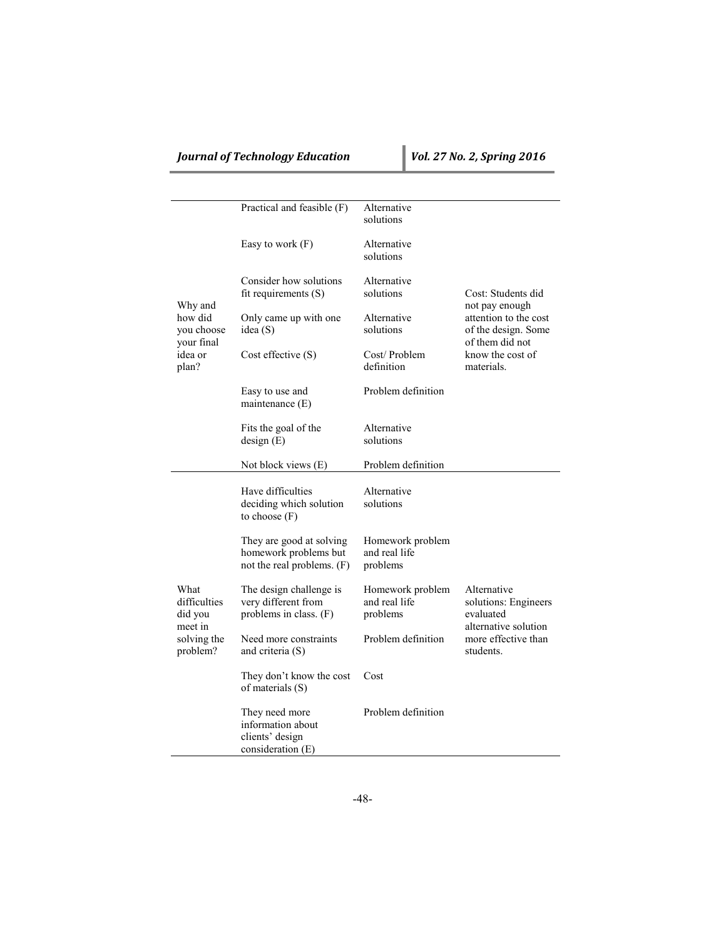# *Journal of Technology Education Vol. 27 No. 2, Spring 2016*

|                                     | Practical and feasible (F)                                                      | Alternative<br>solutions                      |                                                                 |
|-------------------------------------|---------------------------------------------------------------------------------|-----------------------------------------------|-----------------------------------------------------------------|
|                                     | Easy to work $(F)$                                                              | Alternative<br>solutions                      |                                                                 |
| Why and                             | Consider how solutions<br>fit requirements $(S)$                                | Alternative<br>solutions                      | Cost: Students did<br>not pay enough                            |
| how did<br>you choose<br>your final | Only came up with one<br>idea (S)                                               | Alternative<br>solutions                      | attention to the cost<br>of the design. Some<br>of them did not |
| idea or<br>plan?                    | $Cost$ effective $(S)$                                                          | Cost/Problem<br>definition                    | know the cost of<br>materials.                                  |
|                                     | Easy to use and<br>maintenance $(E)$                                            | Problem definition                            |                                                                 |
|                                     | Fits the goal of the<br>design(E)                                               | Alternative<br>solutions                      |                                                                 |
|                                     | Not block views (E)                                                             | Problem definition                            |                                                                 |
|                                     | Have difficulties<br>deciding which solution<br>to choose $(F)$                 | Alternative<br>solutions                      |                                                                 |
|                                     | They are good at solving<br>homework problems but<br>not the real problems. (F) | Homework problem<br>and real life<br>problems |                                                                 |
| What<br>difficulties<br>did you     | The design challenge is<br>very different from<br>problems in class. $(F)$      | Homework problem<br>and real life<br>problems | Alternative<br>solutions: Engineers<br>evaluated                |
| meet in<br>solving the<br>problem?  | Need more constraints<br>and criteria $(S)$                                     | Problem definition                            | alternative solution<br>more effective than<br>students.        |
|                                     | They don't know the cost<br>of materials (S)                                    | Cost                                          |                                                                 |
|                                     | They need more<br>information about<br>clients' design<br>consideration (E)     | Problem definition                            |                                                                 |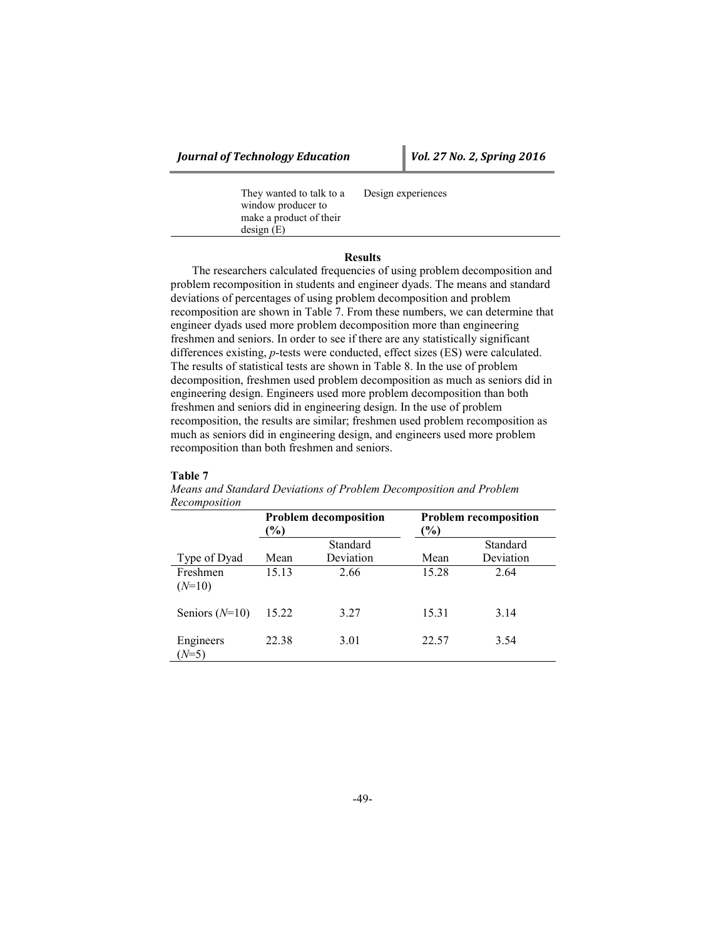*Journal of Technology Education Vol. 27 No. 2, Spring 2016*

They wanted to talk to a window producer to make a product of their design (E) Design experiences

### **Results**

The researchers calculated frequencies of using problem decomposition and problem recomposition in students and engineer dyads. The means and standard deviations of percentages of using problem decomposition and problem recomposition are shown in Table 7. From these numbers, we can determine that engineer dyads used more problem decomposition more than engineering freshmen and seniors. In order to see if there are any statistically significant differences existing, *p*-tests were conducted, effect sizes (ES) were calculated. The results of statistical tests are shown in Table 8. In the use of problem decomposition, freshmen used problem decomposition as much as seniors did in engineering design. Engineers used more problem decomposition than both freshmen and seniors did in engineering design. In the use of problem recomposition, the results are similar; freshmen used problem recomposition as much as seniors did in engineering design, and engineers used more problem recomposition than both freshmen and seniors.

### **Table 7**

|                      | <b>Problem decomposition</b><br>$(\%)$ |                       | <b>Problem recomposition</b><br>$(\%)$ |                       |  |
|----------------------|----------------------------------------|-----------------------|----------------------------------------|-----------------------|--|
| Type of Dyad         | Mean                                   | Standard<br>Deviation | Mean                                   | Standard<br>Deviation |  |
| Freshmen<br>$(N=10)$ | 15.13                                  | 2.66                  | 15.28                                  | 2.64                  |  |
| Seniors $(N=10)$     | 15.22                                  | 3.27                  | 15.31                                  | 3.14                  |  |
| Engineers<br>$(N=5)$ | 22.38                                  | 3.01                  | 22.57                                  | 3.54                  |  |

*Means and Standard Deviations of Problem Decomposition and Problem Recomposition*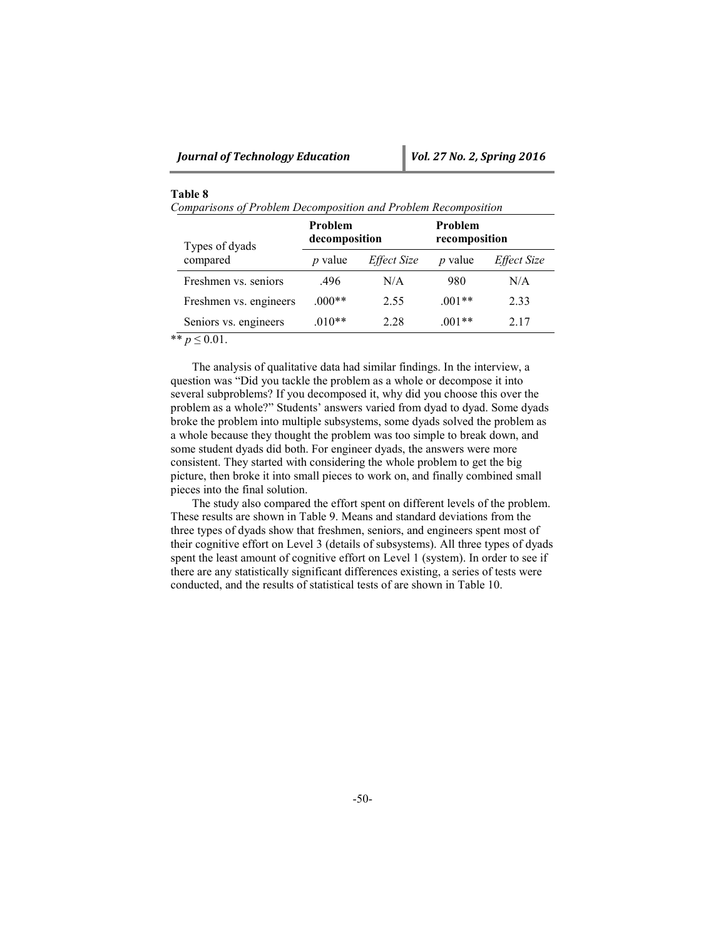*Comparisons of Problem Decomposition and Problem Recomposition*

| Types of dyads            | <b>Problem</b><br>decomposition |                    | Problem<br>recomposition |                    |  |
|---------------------------|---------------------------------|--------------------|--------------------------|--------------------|--|
| compared                  | $p$ value                       | <i>Effect Size</i> | <i>p</i> value           | <i>Effect Size</i> |  |
| Freshmen vs. seniors      | .496                            | N/A                | 980                      | N/A                |  |
| Freshmen vs. engineers    | $.000**$                        | 2.55               | $.001**$                 | 2.33               |  |
| Seniors vs. engineers     | $.010**$                        | 2.28               | $.001**$                 | 2.17               |  |
| ** $p$ -<br>$\leq 0.01$ . |                                 |                    |                          |                    |  |

The analysis of qualitative data had similar findings. In the interview, a question was "Did you tackle the problem as a whole or decompose it into several subproblems? If you decomposed it, why did you choose this over the problem as a whole?" Students' answers varied from dyad to dyad. Some dyads broke the problem into multiple subsystems, some dyads solved the problem as a whole because they thought the problem was too simple to break down, and some student dyads did both. For engineer dyads, the answers were more consistent. They started with considering the whole problem to get the big picture, then broke it into small pieces to work on, and finally combined small pieces into the final solution.

The study also compared the effort spent on different levels of the problem. These results are shown in Table 9. Means and standard deviations from the three types of dyads show that freshmen, seniors, and engineers spent most of their cognitive effort on Level 3 (details of subsystems). All three types of dyads spent the least amount of cognitive effort on Level 1 (system). In order to see if there are any statistically significant differences existing, a series of tests were conducted, and the results of statistical tests of are shown in Table 10.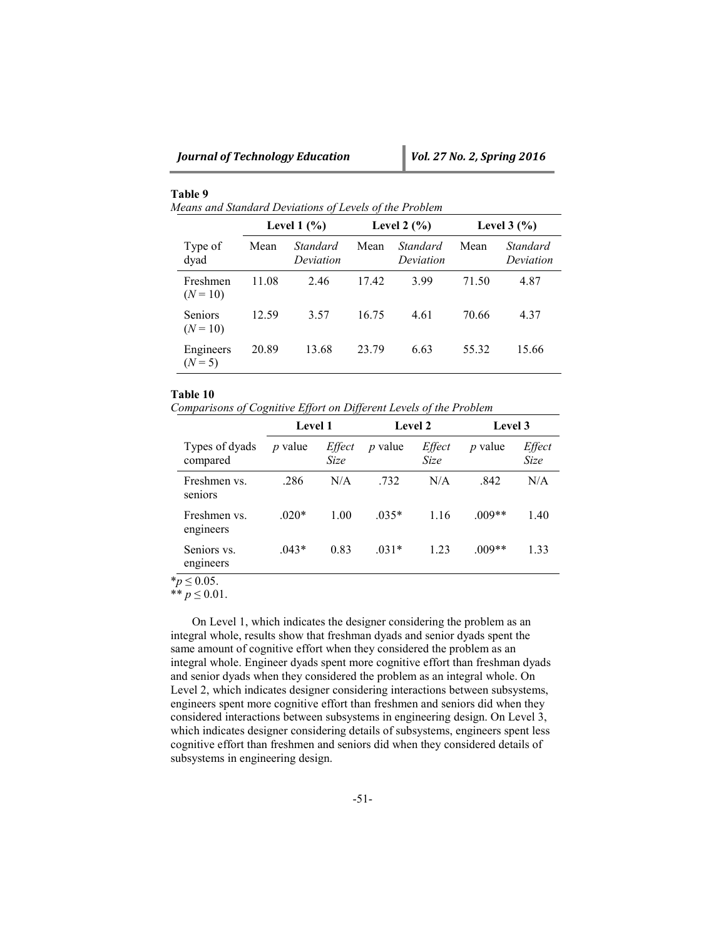*Means and Standard Deviations of Levels of the Problem*

|                              | Level $1\,$ $\%$ ) |                       | Level 2 $(\% )$ |                       | Level $3(%)$ |                       |
|------------------------------|--------------------|-----------------------|-----------------|-----------------------|--------------|-----------------------|
| Type of<br>dyad              | Mean               | Standard<br>Deviation | Mean            | Standard<br>Deviation | Mean         | Standard<br>Deviation |
| Freshmen<br>$(N = 10)$       | 11.08              | 2.46                  | 17.42           | 3.99                  | 71.50        | 4.87                  |
| <b>Seniors</b><br>$(N = 10)$ | 12.59              | 3.57                  | 16.75           | 4.61                  | 70.66        | 4.37                  |
| Engineers<br>$(N=5)$         | 20.89              | 13.68                 | 23.79           | 6.63                  | 55.32        | 15.66                 |

#### **Table 10**

*Comparisons of Cognitive Effort on Different Levels of the Problem*

|                            | <b>Level 1</b> |                | <b>Level 2</b> |                | Level 3        |                |
|----------------------------|----------------|----------------|----------------|----------------|----------------|----------------|
| Types of dyads<br>compared | $p$ value      | Effect<br>Size | <i>p</i> value | Effect<br>Size | <i>p</i> value | Effect<br>Size |
| Freshmen vs.<br>seniors    | .286           | N/A            | .732           | N/A            | .842           | N/A            |
| Freshmen vs.<br>engineers  | $.020*$        | 1.00           | $.035*$        | 1.16           | $.009**$       | 1.40           |
| Seniors vs.<br>engineers   | $.043*$        | 0.83           | $.031*$        | 1.23           | $.009**$       | 1.33           |

\**p* ≤ 0.05.

\*\* *p* ≤ 0.01.

On Level 1, which indicates the designer considering the problem as an integral whole, results show that freshman dyads and senior dyads spent the same amount of cognitive effort when they considered the problem as an integral whole. Engineer dyads spent more cognitive effort than freshman dyads and senior dyads when they considered the problem as an integral whole. On Level 2, which indicates designer considering interactions between subsystems, engineers spent more cognitive effort than freshmen and seniors did when they considered interactions between subsystems in engineering design. On Level 3, which indicates designer considering details of subsystems, engineers spent less cognitive effort than freshmen and seniors did when they considered details of subsystems in engineering design.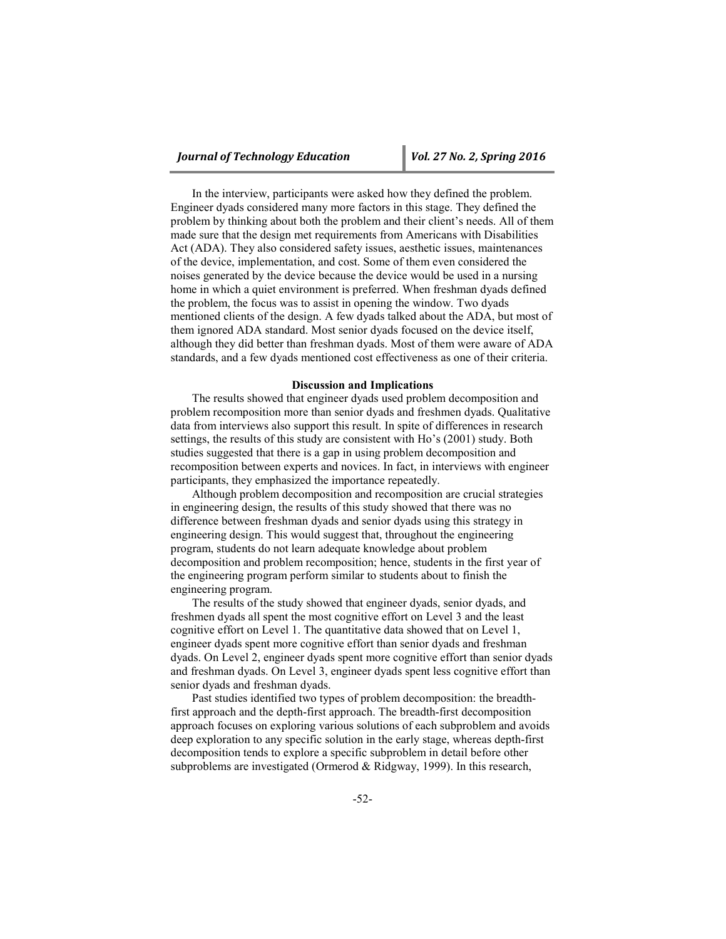In the interview, participants were asked how they defined the problem. Engineer dyads considered many more factors in this stage. They defined the problem by thinking about both the problem and their client's needs. All of them made sure that the design met requirements from Americans with Disabilities Act (ADA). They also considered safety issues, aesthetic issues, maintenances of the device, implementation, and cost. Some of them even considered the noises generated by the device because the device would be used in a nursing home in which a quiet environment is preferred. When freshman dyads defined the problem, the focus was to assist in opening the window. Two dyads mentioned clients of the design. A few dyads talked about the ADA, but most of them ignored ADA standard. Most senior dyads focused on the device itself, although they did better than freshman dyads. Most of them were aware of ADA standards, and a few dyads mentioned cost effectiveness as one of their criteria.

#### **Discussion and Implications**

The results showed that engineer dyads used problem decomposition and problem recomposition more than senior dyads and freshmen dyads. Qualitative data from interviews also support this result. In spite of differences in research settings, the results of this study are consistent with Ho's (2001) study. Both studies suggested that there is a gap in using problem decomposition and recomposition between experts and novices. In fact, in interviews with engineer participants, they emphasized the importance repeatedly.

Although problem decomposition and recomposition are crucial strategies in engineering design, the results of this study showed that there was no difference between freshman dyads and senior dyads using this strategy in engineering design. This would suggest that, throughout the engineering program, students do not learn adequate knowledge about problem decomposition and problem recomposition; hence, students in the first year of the engineering program perform similar to students about to finish the engineering program.

The results of the study showed that engineer dyads, senior dyads, and freshmen dyads all spent the most cognitive effort on Level 3 and the least cognitive effort on Level 1. The quantitative data showed that on Level 1, engineer dyads spent more cognitive effort than senior dyads and freshman dyads. On Level 2, engineer dyads spent more cognitive effort than senior dyads and freshman dyads. On Level 3, engineer dyads spent less cognitive effort than senior dyads and freshman dyads.

Past studies identified two types of problem decomposition: the breadthfirst approach and the depth-first approach. The breadth-first decomposition approach focuses on exploring various solutions of each subproblem and avoids deep exploration to any specific solution in the early stage, whereas depth-first decomposition tends to explore a specific subproblem in detail before other subproblems are investigated (Ormerod & Ridgway, 1999). In this research,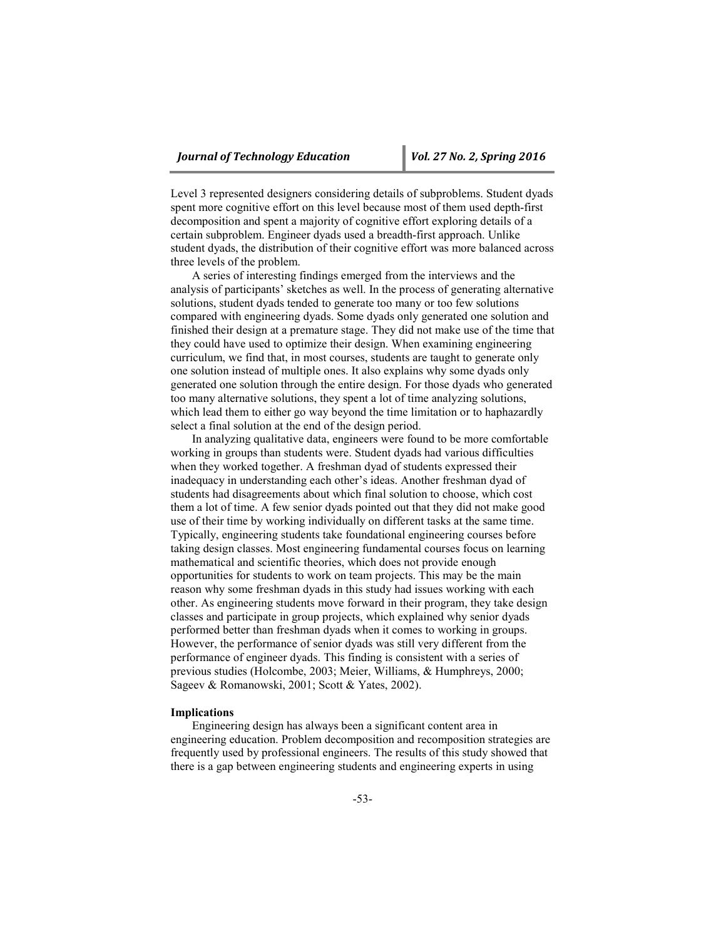Level 3 represented designers considering details of subproblems. Student dyads spent more cognitive effort on this level because most of them used depth-first decomposition and spent a majority of cognitive effort exploring details of a certain subproblem. Engineer dyads used a breadth-first approach. Unlike student dyads, the distribution of their cognitive effort was more balanced across three levels of the problem.

A series of interesting findings emerged from the interviews and the analysis of participants' sketches as well. In the process of generating alternative solutions, student dyads tended to generate too many or too few solutions compared with engineering dyads. Some dyads only generated one solution and finished their design at a premature stage. They did not make use of the time that they could have used to optimize their design. When examining engineering curriculum, we find that, in most courses, students are taught to generate only one solution instead of multiple ones. It also explains why some dyads only generated one solution through the entire design. For those dyads who generated too many alternative solutions, they spent a lot of time analyzing solutions, which lead them to either go way beyond the time limitation or to haphazardly select a final solution at the end of the design period.

In analyzing qualitative data, engineers were found to be more comfortable working in groups than students were. Student dyads had various difficulties when they worked together. A freshman dyad of students expressed their inadequacy in understanding each other's ideas. Another freshman dyad of students had disagreements about which final solution to choose, which cost them a lot of time. A few senior dyads pointed out that they did not make good use of their time by working individually on different tasks at the same time. Typically, engineering students take foundational engineering courses before taking design classes. Most engineering fundamental courses focus on learning mathematical and scientific theories, which does not provide enough opportunities for students to work on team projects. This may be the main reason why some freshman dyads in this study had issues working with each other. As engineering students move forward in their program, they take design classes and participate in group projects, which explained why senior dyads performed better than freshman dyads when it comes to working in groups. However, the performance of senior dyads was still very different from the performance of engineer dyads. This finding is consistent with a series of previous studies (Holcombe, 2003; Meier, Williams, & Humphreys, 2000; Sageev & Romanowski, 2001; Scott & Yates, 2002).

### **Implications**

Engineering design has always been a significant content area in engineering education. Problem decomposition and recomposition strategies are frequently used by professional engineers. The results of this study showed that there is a gap between engineering students and engineering experts in using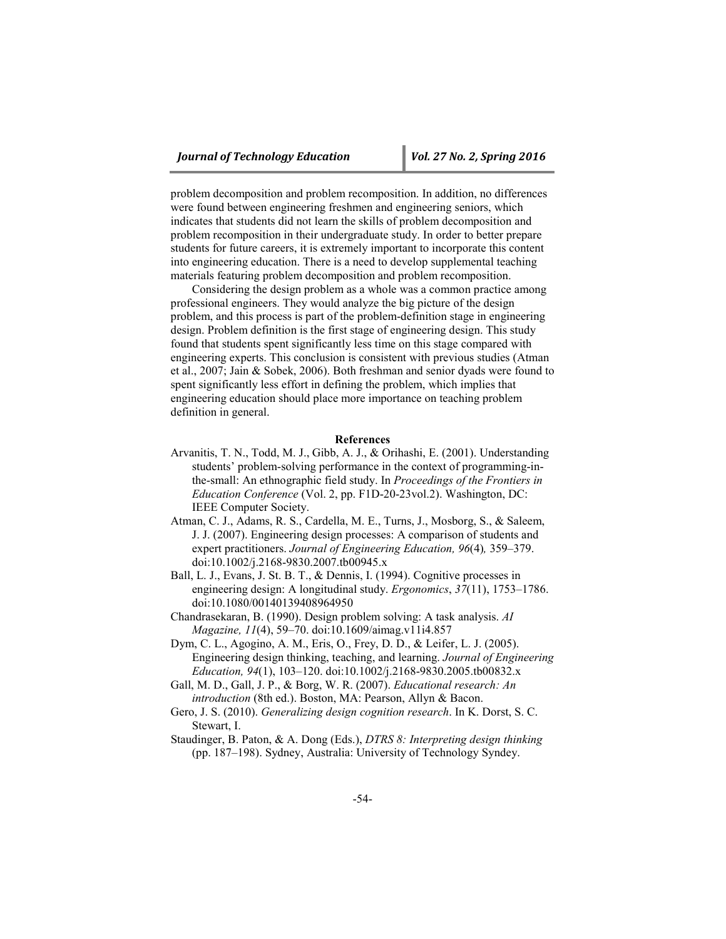problem decomposition and problem recomposition. In addition, no differences were found between engineering freshmen and engineering seniors, which indicates that students did not learn the skills of problem decomposition and problem recomposition in their undergraduate study. In order to better prepare students for future careers, it is extremely important to incorporate this content into engineering education. There is a need to develop supplemental teaching materials featuring problem decomposition and problem recomposition.

Considering the design problem as a whole was a common practice among professional engineers. They would analyze the big picture of the design problem, and this process is part of the problem-definition stage in engineering design. Problem definition is the first stage of engineering design. This study found that students spent significantly less time on this stage compared with engineering experts. This conclusion is consistent with previous studies (Atman et al., 2007; Jain & Sobek, 2006). Both freshman and senior dyads were found to spent significantly less effort in defining the problem, which implies that engineering education should place more importance on teaching problem definition in general.

#### **References**

- Arvanitis, T. N., Todd, M. J., Gibb, A. J., & Orihashi, E. (2001). Understanding students' problem-solving performance in the context of programming-inthe-small: An ethnographic field study. In *Proceedings of the Frontiers in Education Conference* (Vol. 2, pp. F1D-20-23vol.2). Washington, DC: IEEE Computer Society.
- Atman, C. J., Adams, R. S., Cardella, M. E., Turns, J., Mosborg, S., & Saleem, J. J. (2007). Engineering design processes: A comparison of students and expert practitioners. *Journal of Engineering Education, 96*(4)*,* 359–379. doi:10.1002/j.2168-9830.2007.tb00945.x
- Ball, L. J., Evans, J. St. B. T., & Dennis, I. (1994). Cognitive processes in engineering design: A longitudinal study. *Ergonomics*, *37*(11), 1753–1786. doi:10.1080/00140139408964950
- Chandrasekaran, B. (1990). Design problem solving: A task analysis. *AI Magazine, 11*(4), 59–70. doi:10.1609/aimag.v11i4.857
- Dym, C. L., Agogino, A. M., Eris, O., Frey, D. D., & Leifer, L. J. (2005). Engineering design thinking, teaching, and learning. *Journal of Engineering Education, 94*(1), 103–120. doi:10.1002/j.2168-9830.2005.tb00832.x
- Gall, M. D., Gall, J. P., & Borg, W. R. (2007). *Educational research: An introduction* (8th ed.). Boston, MA: Pearson, Allyn & Bacon.
- Gero, J. S. (2010). *Generalizing design cognition research*. In K. Dorst, S. C. Stewart, I.
- Staudinger, B. Paton, & A. Dong (Eds.), *DTRS 8: Interpreting design thinking* (pp. 187–198). Sydney, Australia: University of Technology Syndey.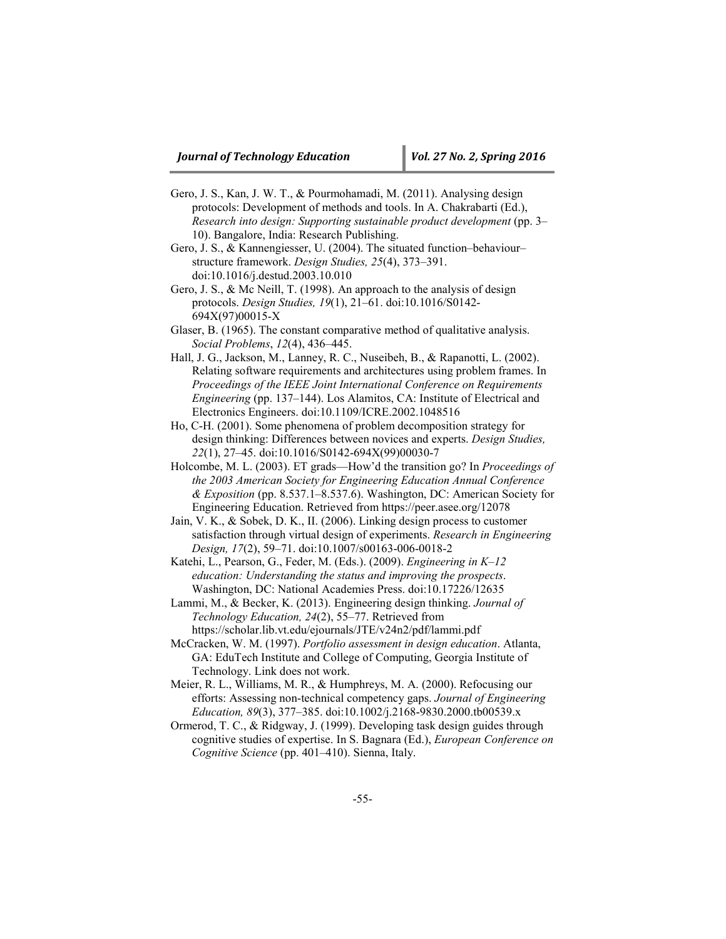- Gero, J. S., Kan, J. W. T., & Pourmohamadi, M. (2011). Analysing design protocols: Development of methods and tools. In A. Chakrabarti (Ed.), *Research into design: Supporting sustainable product development* (pp. 3– 10). Bangalore, India: Research Publishing.
- Gero, J. S., & Kannengiesser, U. (2004). The situated function–behaviour– structure framework. *Design Studies, 25*(4), 373–391. doi:10.1016/j.destud.2003.10.010
- Gero, J. S., & Mc Neill, T. (1998). An approach to the analysis of design protocols. *Design Studies, 19*(1), 21–61. doi:10.1016/S0142- 694X(97)00015-X
- Glaser, B. (1965). The constant comparative method of qualitative analysis. *Social Problems*, *12*(4), 436–445.
- Hall, J. G., Jackson, M., Lanney, R. C., Nuseibeh, B., & Rapanotti, L. (2002). Relating software requirements and architectures using problem frames. In *Proceedings of the IEEE Joint International Conference on Requirements Engineering* (pp. 137–144). Los Alamitos, CA: Institute of Electrical and Electronics Engineers. doi:10.1109/ICRE.2002.1048516
- Ho, C-H. (2001). Some phenomena of problem decomposition strategy for design thinking: Differences between novices and experts. *Design Studies, 22*(1), 27–45. doi:10.1016/S0142-694X(99)00030-7
- Holcombe, M. L. (2003). ET grads—How'd the transition go? In *Proceedings of the 2003 American Society for Engineering Education Annual Conference & Exposition* (pp. 8.537.1–8.537.6). Washington, DC: American Society for Engineering Education. Retrieved from https://peer.asee.org/12078
- Jain, V. K., & Sobek, D. K., II. (2006). Linking design process to customer satisfaction through virtual design of experiments. *Research in Engineering Design, 17*(2), 59–71. doi:10.1007/s00163-006-0018-2
- Katehi, L., Pearson, G., Feder, M. (Eds.). (2009). *Engineering in K–12 education: Understanding the status and improving the prospects*. Washington, DC: National Academies Press. doi:10.17226/12635
- Lammi, M., & Becker, K. (2013). Engineering design thinking. *Journal of Technology Education, 24*(2), 55–77. Retrieved from https://scholar.lib.vt.edu/ejournals/JTE/v24n2/pdf/lammi.pdf
- McCracken, W. M. (1997). *Portfolio assessment in design education*. Atlanta, GA: EduTech Institute and College of Computing, Georgia Institute of Technology. Link does not work.
- Meier, R. L., Williams, M. R., & Humphreys, M. A. (2000). Refocusing our efforts: Assessing non-technical competency gaps. *Journal of Engineering Education, 89*(3), 377–385. doi:10.1002/j.2168-9830.2000.tb00539.x
- Ormerod, T. C., & Ridgway, J. (1999). Developing task design guides through cognitive studies of expertise. In S. Bagnara (Ed.), *European Conference on Cognitive Science* (pp. 401–410). Sienna, Italy.